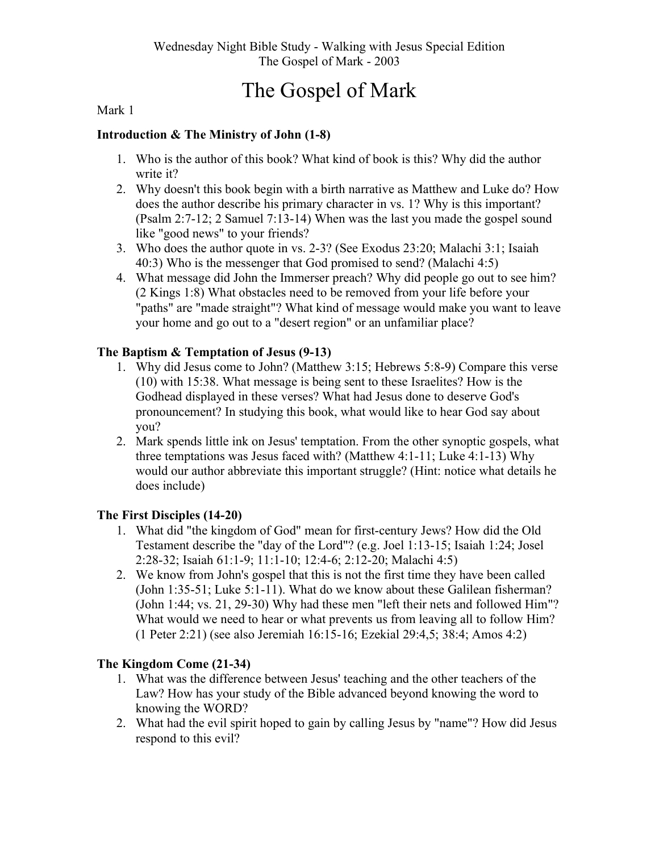# The Gospel of Mark

#### Mark 1

#### Introduction & The Ministry of John (1-8)

- 1. Who is the author of this book? What kind of book is this? Why did the author write it?
- 2. Why doesn't this book begin with a birth narrative as Matthew and Luke do? How does the author describe his primary character in vs. 1? Why is this important? (Psalm 2:7-12; 2 Samuel 7:13-14) When was the last you made the gospel sound like "good news" to your friends?
- 3. Who does the author quote in vs. 2-3? (See Exodus 23:20; Malachi 3:1; Isaiah 40:3) Who is the messenger that God promised to send? (Malachi 4:5)
- 4. What message did John the Immerser preach? Why did people go out to see him? (2 Kings 1:8) What obstacles need to be removed from your life before your "paths" are "made straight"? What kind of message would make you want to leave your home and go out to a "desert region" or an unfamiliar place?

#### The Baptism & Temptation of Jesus (9-13)

- 1. Why did Jesus come to John? (Matthew 3:15; Hebrews 5:8-9) Compare this verse (10) with 15:38. What message is being sent to these Israelites? How is the Godhead displayed in these verses? What had Jesus done to deserve God's pronouncement? In studying this book, what would like to hear God say about you?
- 2. Mark spends little ink on Jesus' temptation. From the other synoptic gospels, what three temptations was Jesus faced with? (Matthew 4:1-11; Luke 4:1-13) Why would our author abbreviate this important struggle? (Hint: notice what details he does include)

#### The First Disciples (14-20)

- 1. What did "the kingdom of God" mean for first-century Jews? How did the Old Testament describe the "day of the Lord"? (e.g. Joel 1:13-15; Isaiah 1:24; Josel 2:28-32; Isaiah 61:1-9; 11:1-10; 12:4-6; 2:12-20; Malachi 4:5)
- 2. We know from John's gospel that this is not the first time they have been called (John 1:35-51; Luke 5:1-11). What do we know about these Galilean fisherman? (John 1:44; vs. 21, 29-30) Why had these men "left their nets and followed Him"? What would we need to hear or what prevents us from leaving all to follow Him? (1 Peter 2:21) (see also Jeremiah 16:15-16; Ezekial 29:4,5; 38:4; Amos 4:2)

#### The Kingdom Come (21-34)

- 1. What was the difference between Jesus' teaching and the other teachers of the Law? How has your study of the Bible advanced beyond knowing the word to knowing the WORD?
- 2. What had the evil spirit hoped to gain by calling Jesus by "name"? How did Jesus respond to this evil?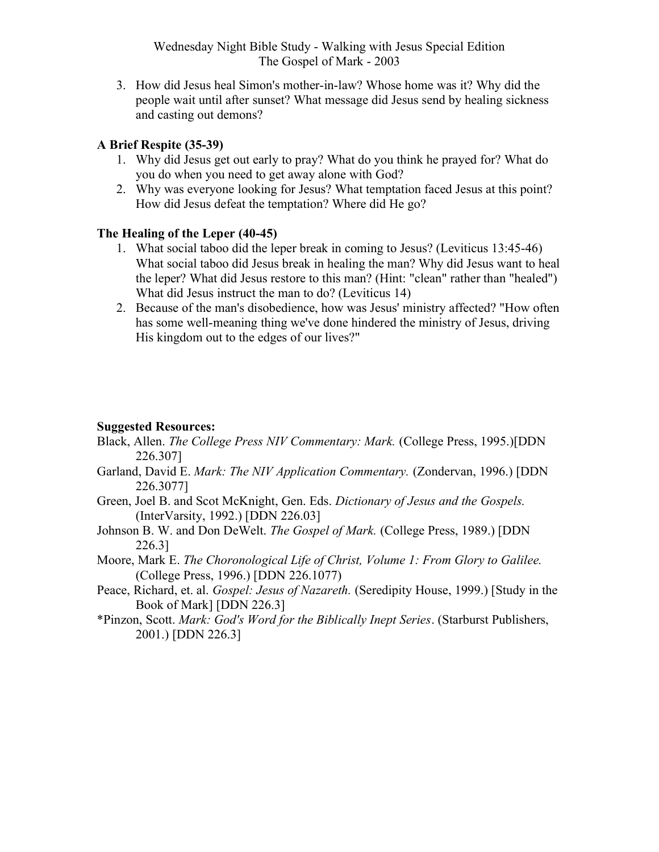3. How did Jesus heal Simon's mother-in-law? Whose home was it? Why did the people wait until after sunset? What message did Jesus send by healing sickness and casting out demons?

#### A Brief Respite (35-39)

- 1. Why did Jesus get out early to pray? What do you think he prayed for? What do you do when you need to get away alone with God?
- 2. Why was everyone looking for Jesus? What temptation faced Jesus at this point? How did Jesus defeat the temptation? Where did He go?

#### The Healing of the Leper (40-45)

- 1. What social taboo did the leper break in coming to Jesus? (Leviticus 13:45-46) What social taboo did Jesus break in healing the man? Why did Jesus want to heal the leper? What did Jesus restore to this man? (Hint: "clean" rather than "healed") What did Jesus instruct the man to do? (Leviticus 14)
- 2. Because of the man's disobedience, how was Jesus' ministry affected? "How often has some well-meaning thing we've done hindered the ministry of Jesus, driving His kingdom out to the edges of our lives?"

#### Suggested Resources:

- Black, Allen. The College Press NIV Commentary: Mark. (College Press, 1995.)[DDN 226.307]
- Garland, David E. Mark: The NIV Application Commentary. (Zondervan, 1996.) [DDN 226.3077]
- Green, Joel B. and Scot McKnight, Gen. Eds. Dictionary of Jesus and the Gospels. (InterVarsity, 1992.) [DDN 226.03]
- Johnson B. W. and Don DeWelt. The Gospel of Mark. (College Press, 1989.) [DDN 226.3]
- Moore, Mark E. The Choronological Life of Christ, Volume 1: From Glory to Galilee. (College Press, 1996.) [DDN 226.1077)
- Peace, Richard, et. al. Gospel: Jesus of Nazareth. (Seredipity House, 1999.) [Study in the Book of Mark] [DDN 226.3]
- \*Pinzon, Scott. Mark: God's Word for the Biblically Inept Series. (Starburst Publishers, 2001.) [DDN 226.3]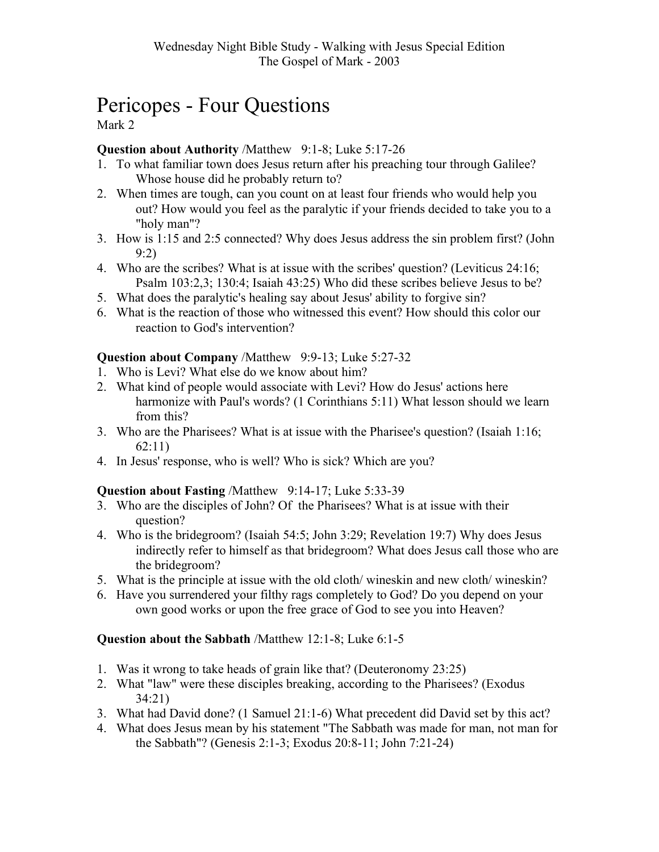# Pericopes - Four Questions

Mark 2

#### Question about Authority /Matthew 9:1-8; Luke 5:17-26

- 1. To what familiar town does Jesus return after his preaching tour through Galilee? Whose house did he probably return to?
- 2. When times are tough, can you count on at least four friends who would help you out? How would you feel as the paralytic if your friends decided to take you to a "holy man"?
- 3. How is 1:15 and 2:5 connected? Why does Jesus address the sin problem first? (John 9:2)
- 4. Who are the scribes? What is at issue with the scribes' question? (Leviticus 24:16; Psalm 103:2,3; 130:4; Isaiah 43:25) Who did these scribes believe Jesus to be?
- 5. What does the paralytic's healing say about Jesus' ability to forgive sin?
- 6. What is the reaction of those who witnessed this event? How should this color our reaction to God's intervention?

#### Question about Company /Matthew 9:9-13; Luke 5:27-32

- 1. Who is Levi? What else do we know about him?
- 2. What kind of people would associate with Levi? How do Jesus' actions here harmonize with Paul's words? (1 Corinthians 5:11) What lesson should we learn from this?
- 3. Who are the Pharisees? What is at issue with the Pharisee's question? (Isaiah 1:16; 62:11)
- 4. In Jesus' response, who is well? Who is sick? Which are you?

#### Question about Fasting /Matthew 9:14-17; Luke 5:33-39

- 3. Who are the disciples of John? Of the Pharisees? What is at issue with their question?
- 4. Who is the bridegroom? (Isaiah 54:5; John 3:29; Revelation 19:7) Why does Jesus indirectly refer to himself as that bridegroom? What does Jesus call those who are the bridegroom?
- 5. What is the principle at issue with the old cloth/ wineskin and new cloth/ wineskin?
- 6. Have you surrendered your filthy rags completely to God? Do you depend on your own good works or upon the free grace of God to see you into Heaven?

#### Question about the Sabbath /Matthew 12:1-8; Luke 6:1-5

- 1. Was it wrong to take heads of grain like that? (Deuteronomy 23:25)
- 2. What "law" were these disciples breaking, according to the Pharisees? (Exodus 34:21)
- 3. What had David done? (1 Samuel 21:1-6) What precedent did David set by this act?
- 4. What does Jesus mean by his statement "The Sabbath was made for man, not man for the Sabbath"? (Genesis 2:1-3; Exodus 20:8-11; John 7:21-24)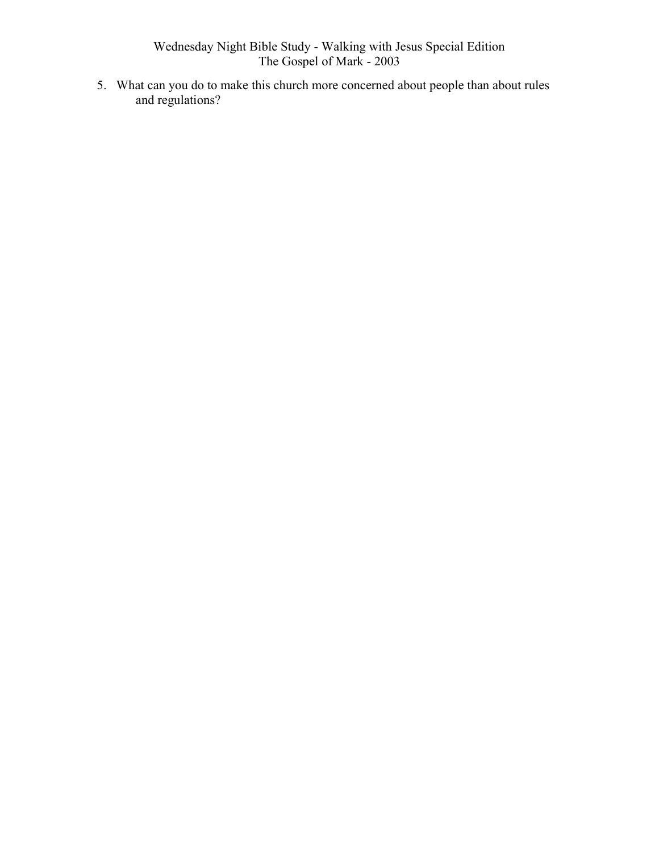5. What can you do to make this church more concerned about people than about rules and regulations?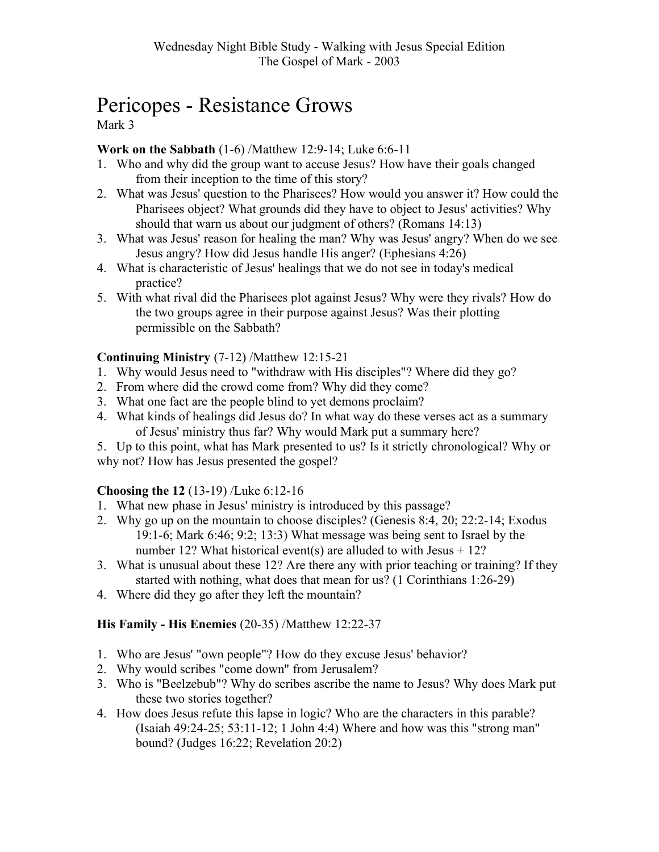# Pericopes - Resistance Grows

Mark 3

#### Work on the Sabbath (1-6) /Matthew 12:9-14; Luke 6:6-11

- 1. Who and why did the group want to accuse Jesus? How have their goals changed from their inception to the time of this story?
- 2. What was Jesus' question to the Pharisees? How would you answer it? How could the Pharisees object? What grounds did they have to object to Jesus' activities? Why should that warn us about our judgment of others? (Romans 14:13)
- 3. What was Jesus' reason for healing the man? Why was Jesus' angry? When do we see Jesus angry? How did Jesus handle His anger? (Ephesians 4:26)
- 4. What is characteristic of Jesus' healings that we do not see in today's medical practice?
- 5. With what rival did the Pharisees plot against Jesus? Why were they rivals? How do the two groups agree in their purpose against Jesus? Was their plotting permissible on the Sabbath?

#### Continuing Ministry (7-12) /Matthew 12:15-21

- 1. Why would Jesus need to "withdraw with His disciples"? Where did they go?
- 2. From where did the crowd come from? Why did they come?
- 3. What one fact are the people blind to yet demons proclaim?
- 4. What kinds of healings did Jesus do? In what way do these verses act as a summary of Jesus' ministry thus far? Why would Mark put a summary here?
- 5. Up to this point, what has Mark presented to us? Is it strictly chronological? Why or why not? How has Jesus presented the gospel?

#### Choosing the 12 (13-19) /Luke 6:12-16

- 1. What new phase in Jesus' ministry is introduced by this passage?
- 2. Why go up on the mountain to choose disciples? (Genesis 8:4, 20; 22:2-14; Exodus 19:1-6; Mark 6:46; 9:2; 13:3) What message was being sent to Israel by the number 12? What historical event(s) are alluded to with Jesus  $+ 12$ ?
- 3. What is unusual about these 12? Are there any with prior teaching or training? If they started with nothing, what does that mean for us? (1 Corinthians 1:26-29)
- 4. Where did they go after they left the mountain?

#### His Family - His Enemies (20-35) /Matthew 12:22-37

- 1. Who are Jesus' "own people"? How do they excuse Jesus' behavior?
- 2. Why would scribes "come down" from Jerusalem?
- 3. Who is "Beelzebub"? Why do scribes ascribe the name to Jesus? Why does Mark put these two stories together?
- 4. How does Jesus refute this lapse in logic? Who are the characters in this parable? (Isaiah 49:24-25; 53:11-12; 1 John 4:4) Where and how was this "strong man" bound? (Judges 16:22; Revelation 20:2)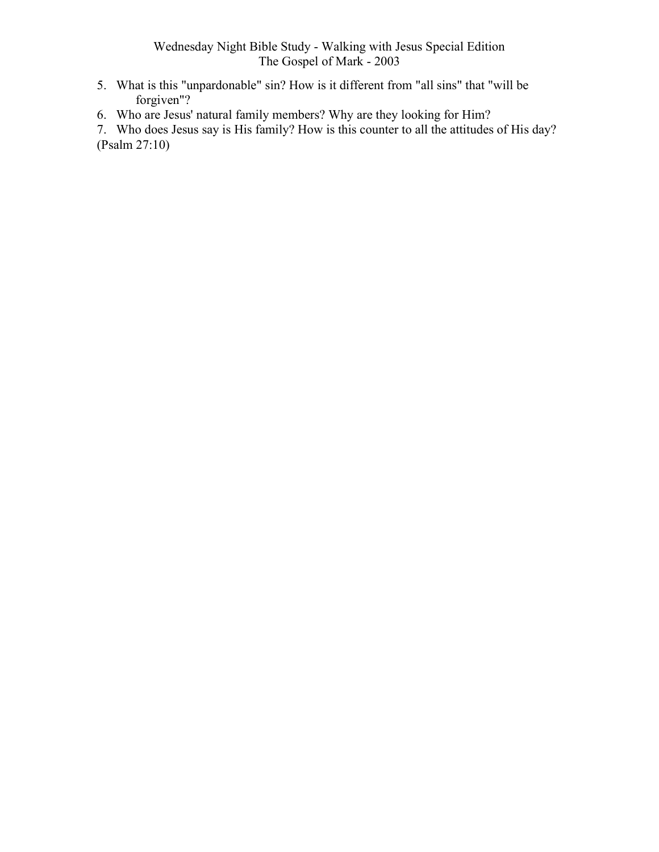- 5. What is this "unpardonable" sin? How is it different from "all sins" that "will be forgiven"?
- 6. Who are Jesus' natural family members? Why are they looking for Him?

7. Who does Jesus say is His family? How is this counter to all the attitudes of His day? (Psalm 27:10)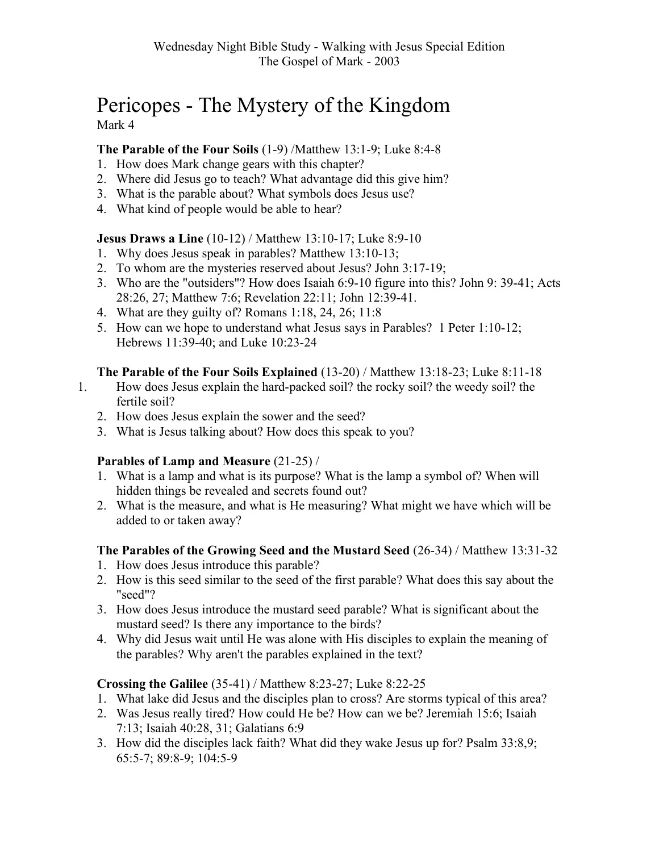# Pericopes - The Mystery of the Kingdom Mark 4

#### The Parable of the Four Soils (1-9) /Matthew 13:1-9; Luke 8:4-8

- 1. How does Mark change gears with this chapter?
- 2. Where did Jesus go to teach? What advantage did this give him?
- 3. What is the parable about? What symbols does Jesus use?
- 4. What kind of people would be able to hear?

#### Jesus Draws a Line (10-12) / Matthew 13:10-17; Luke 8:9-10

- 1. Why does Jesus speak in parables? Matthew 13:10-13;
- 2. To whom are the mysteries reserved about Jesus? John 3:17-19;
- 3. Who are the "outsiders"? How does Isaiah 6:9-10 figure into this? John 9: 39-41; Acts 28:26, 27; Matthew 7:6; Revelation 22:11; John 12:39-41.
- 4. What are they guilty of? Romans 1:18, 24, 26; 11:8
- 5. How can we hope to understand what Jesus says in Parables? 1 Peter 1:10-12; Hebrews 11:39-40; and Luke 10:23-24

#### The Parable of the Four Soils Explained (13-20) / Matthew 13:18-23; Luke 8:11-18

- 1. How does Jesus explain the hard-packed soil? the rocky soil? the weedy soil? the fertile soil?
	- 2. How does Jesus explain the sower and the seed?
	- 3. What is Jesus talking about? How does this speak to you?

#### Parables of Lamp and Measure (21-25) /

- 1. What is a lamp and what is its purpose? What is the lamp a symbol of? When will hidden things be revealed and secrets found out?
- 2. What is the measure, and what is He measuring? What might we have which will be added to or taken away?

#### The Parables of the Growing Seed and the Mustard Seed (26-34) / Matthew 13:31-32

- 1. How does Jesus introduce this parable?
- 2. How is this seed similar to the seed of the first parable? What does this say about the "seed"?
- 3. How does Jesus introduce the mustard seed parable? What is significant about the mustard seed? Is there any importance to the birds?
- 4. Why did Jesus wait until He was alone with His disciples to explain the meaning of the parables? Why aren't the parables explained in the text?

#### Crossing the Galilee (35-41) / Matthew 8:23-27; Luke 8:22-25

- 1. What lake did Jesus and the disciples plan to cross? Are storms typical of this area?
- 2. Was Jesus really tired? How could He be? How can we be? Jeremiah 15:6; Isaiah 7:13; Isaiah 40:28, 31; Galatians 6:9
- 3. How did the disciples lack faith? What did they wake Jesus up for? Psalm 33:8,9; 65:5-7; 89:8-9; 104:5-9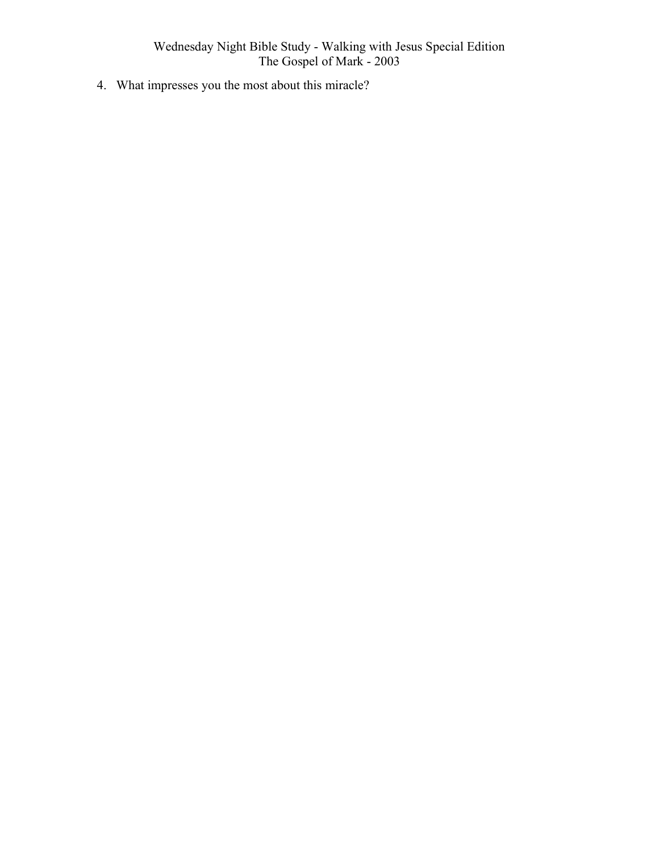4. What impresses you the most about this miracle?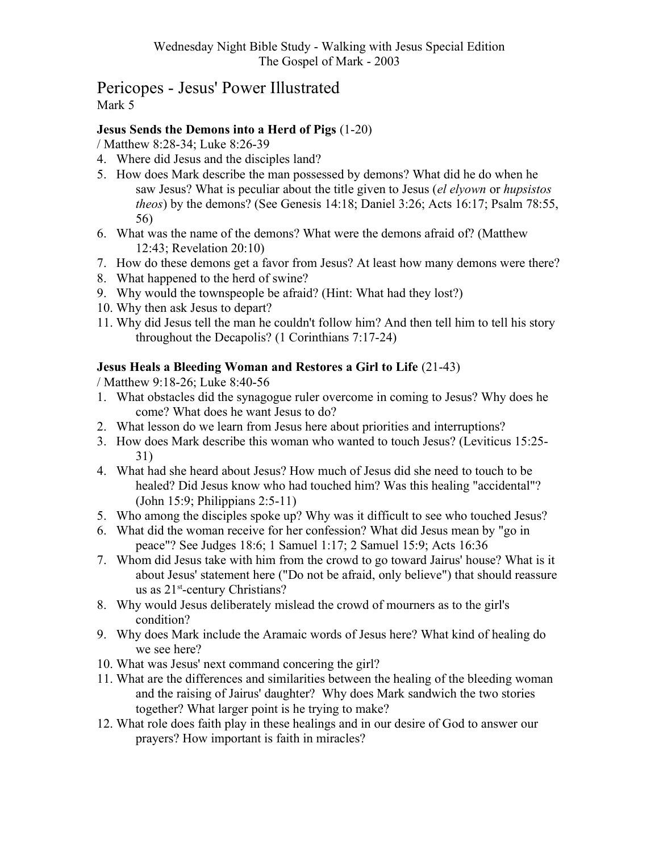# Pericopes - Jesus' Power Illustrated Mark 5

#### Jesus Sends the Demons into a Herd of Pigs (1-20)

/ Matthew 8:28-34; Luke 8:26-39

- 4. Where did Jesus and the disciples land?
- 5. How does Mark describe the man possessed by demons? What did he do when he saw Jesus? What is peculiar about the title given to Jesus (el elyown or hupsistos theos) by the demons? (See Genesis 14:18; Daniel 3:26; Acts 16:17; Psalm 78:55, 56)
- 6. What was the name of the demons? What were the demons afraid of? (Matthew 12:43; Revelation 20:10)
- 7. How do these demons get a favor from Jesus? At least how many demons were there?
- 8. What happened to the herd of swine?
- 9. Why would the townspeople be afraid? (Hint: What had they lost?)
- 10. Why then ask Jesus to depart?
- 11. Why did Jesus tell the man he couldn't follow him? And then tell him to tell his story throughout the Decapolis? (1 Corinthians 7:17-24)

#### Jesus Heals a Bleeding Woman and Restores a Girl to Life (21-43)

/ Matthew 9:18-26; Luke 8:40-56

- 1. What obstacles did the synagogue ruler overcome in coming to Jesus? Why does he come? What does he want Jesus to do?
- 2. What lesson do we learn from Jesus here about priorities and interruptions?
- 3. How does Mark describe this woman who wanted to touch Jesus? (Leviticus 15:25- 31)
- 4. What had she heard about Jesus? How much of Jesus did she need to touch to be healed? Did Jesus know who had touched him? Was this healing "accidental"? (John 15:9; Philippians 2:5-11)
- 5. Who among the disciples spoke up? Why was it difficult to see who touched Jesus?
- 6. What did the woman receive for her confession? What did Jesus mean by "go in peace"? See Judges 18:6; 1 Samuel 1:17; 2 Samuel 15:9; Acts 16:36
- 7. Whom did Jesus take with him from the crowd to go toward Jairus' house? What is it about Jesus' statement here ("Do not be afraid, only believe") that should reassure us as  $21^{\text{st}}$ -century Christians?
- 8. Why would Jesus deliberately mislead the crowd of mourners as to the girl's condition?
- 9. Why does Mark include the Aramaic words of Jesus here? What kind of healing do we see here?
- 10. What was Jesus' next command concering the girl?
- 11. What are the differences and similarities between the healing of the bleeding woman and the raising of Jairus' daughter? Why does Mark sandwich the two stories together? What larger point is he trying to make?
- 12. What role does faith play in these healings and in our desire of God to answer our prayers? How important is faith in miracles?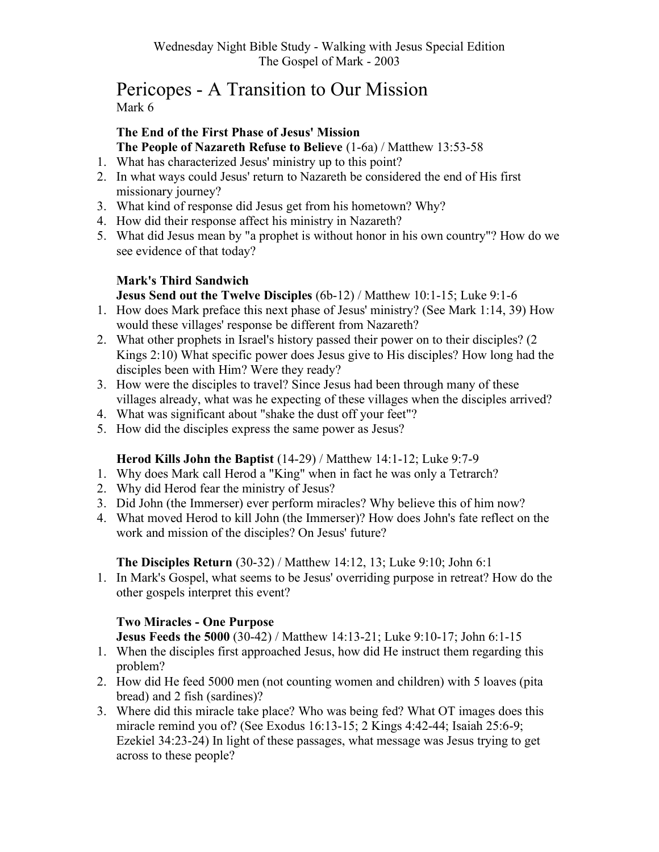# Pericopes - A Transition to Our Mission Mark 6

#### The End of the First Phase of Jesus' Mission The People of Nazareth Refuse to Believe (1-6a) / Matthew 13:53-58

- 1. What has characterized Jesus' ministry up to this point?
- 2. In what ways could Jesus' return to Nazareth be considered the end of His first missionary journey?
- 3. What kind of response did Jesus get from his hometown? Why?
- 4. How did their response affect his ministry in Nazareth?
- 5. What did Jesus mean by "a prophet is without honor in his own country"? How do we see evidence of that today?

# Mark's Third Sandwich

#### Jesus Send out the Twelve Disciples (6b-12) / Matthew 10:1-15; Luke 9:1-6

- 1. How does Mark preface this next phase of Jesus' ministry? (See Mark 1:14, 39) How would these villages' response be different from Nazareth?
- 2. What other prophets in Israel's history passed their power on to their disciples? (2 Kings 2:10) What specific power does Jesus give to His disciples? How long had the disciples been with Him? Were they ready?
- 3. How were the disciples to travel? Since Jesus had been through many of these villages already, what was he expecting of these villages when the disciples arrived?
- 4. What was significant about "shake the dust off your feet"?
- 5. How did the disciples express the same power as Jesus?

#### Herod Kills John the Baptist (14-29) / Matthew 14:1-12; Luke 9:7-9

- 1. Why does Mark call Herod a "King" when in fact he was only a Tetrarch?
- 2. Why did Herod fear the ministry of Jesus?
- 3. Did John (the Immerser) ever perform miracles? Why believe this of him now?
- 4. What moved Herod to kill John (the Immerser)? How does John's fate reflect on the work and mission of the disciples? On Jesus' future?

#### The Disciples Return (30-32) / Matthew 14:12, 13; Luke 9:10; John 6:1

1. In Mark's Gospel, what seems to be Jesus' overriding purpose in retreat? How do the other gospels interpret this event?

#### Two Miracles - One Purpose

Jesus Feeds the 5000 (30-42) / Matthew 14:13-21; Luke 9:10-17; John 6:1-15

- 1. When the disciples first approached Jesus, how did He instruct them regarding this problem?
- 2. How did He feed 5000 men (not counting women and children) with 5 loaves (pita bread) and 2 fish (sardines)?
- 3. Where did this miracle take place? Who was being fed? What OT images does this miracle remind you of? (See Exodus 16:13-15; 2 Kings 4:42-44; Isaiah 25:6-9; Ezekiel 34:23-24) In light of these passages, what message was Jesus trying to get across to these people?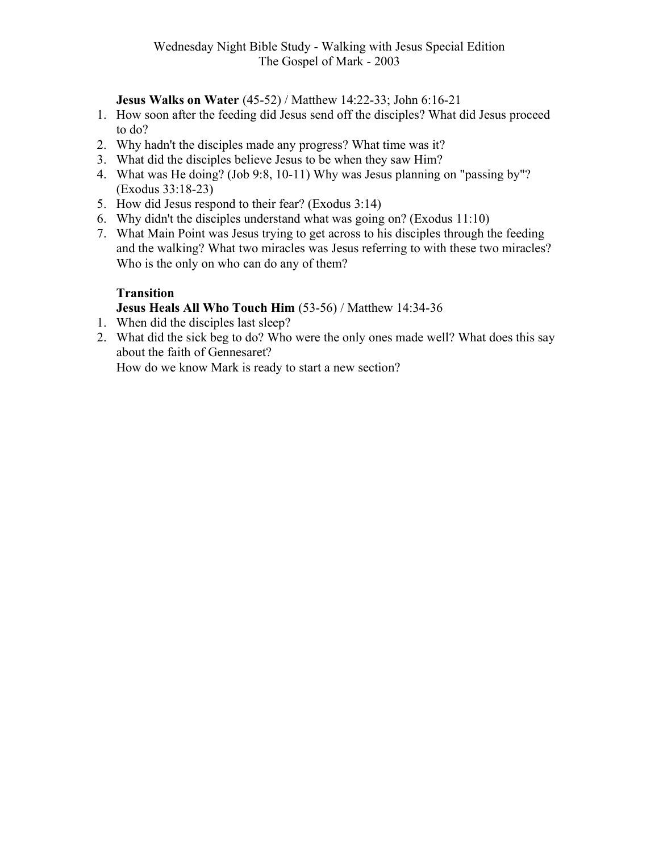Jesus Walks on Water (45-52) / Matthew 14:22-33; John 6:16-21

- 1. How soon after the feeding did Jesus send off the disciples? What did Jesus proceed to do?
- 2. Why hadn't the disciples made any progress? What time was it?
- 3. What did the disciples believe Jesus to be when they saw Him?
- 4. What was He doing? (Job 9:8, 10-11) Why was Jesus planning on "passing by"? (Exodus 33:18-23)
- 5. How did Jesus respond to their fear? (Exodus 3:14)
- 6. Why didn't the disciples understand what was going on? (Exodus 11:10)
- 7. What Main Point was Jesus trying to get across to his disciples through the feeding and the walking? What two miracles was Jesus referring to with these two miracles? Who is the only on who can do any of them?

#### **Transition**

#### Jesus Heals All Who Touch Him (53-56) / Matthew 14:34-36

- 1. When did the disciples last sleep?
- 2. What did the sick beg to do? Who were the only ones made well? What does this say about the faith of Gennesaret?

How do we know Mark is ready to start a new section?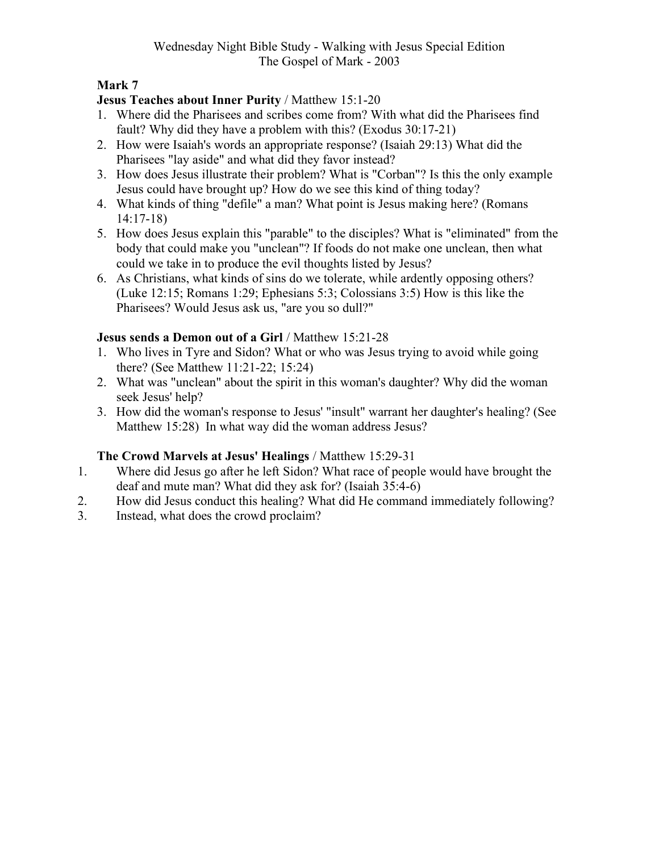#### Mark 7

#### Jesus Teaches about Inner Purity / Matthew 15:1-20

- 1. Where did the Pharisees and scribes come from? With what did the Pharisees find fault? Why did they have a problem with this? (Exodus 30:17-21)
- 2. How were Isaiah's words an appropriate response? (Isaiah 29:13) What did the Pharisees "lay aside" and what did they favor instead?
- 3. How does Jesus illustrate their problem? What is "Corban"? Is this the only example Jesus could have brought up? How do we see this kind of thing today?
- 4. What kinds of thing "defile" a man? What point is Jesus making here? (Romans 14:17-18)
- 5. How does Jesus explain this "parable" to the disciples? What is "eliminated" from the body that could make you "unclean"? If foods do not make one unclean, then what could we take in to produce the evil thoughts listed by Jesus?
- 6. As Christians, what kinds of sins do we tolerate, while ardently opposing others? (Luke 12:15; Romans 1:29; Ephesians 5:3; Colossians 3:5) How is this like the Pharisees? Would Jesus ask us, "are you so dull?"

#### Jesus sends a Demon out of a Girl / Matthew 15:21-28

- 1. Who lives in Tyre and Sidon? What or who was Jesus trying to avoid while going there? (See Matthew 11:21-22; 15:24)
- 2. What was "unclean" about the spirit in this woman's daughter? Why did the woman seek Jesus' help?
- 3. How did the woman's response to Jesus' "insult" warrant her daughter's healing? (See Matthew 15:28) In what way did the woman address Jesus?

#### The Crowd Marvels at Jesus' Healings / Matthew 15:29-31

- 1. Where did Jesus go after he left Sidon? What race of people would have brought the deaf and mute man? What did they ask for? (Isaiah 35:4-6)
- 2. How did Jesus conduct this healing? What did He command immediately following?<br>3. Instead, what does the crowd proclaim?
- Instead, what does the crowd proclaim?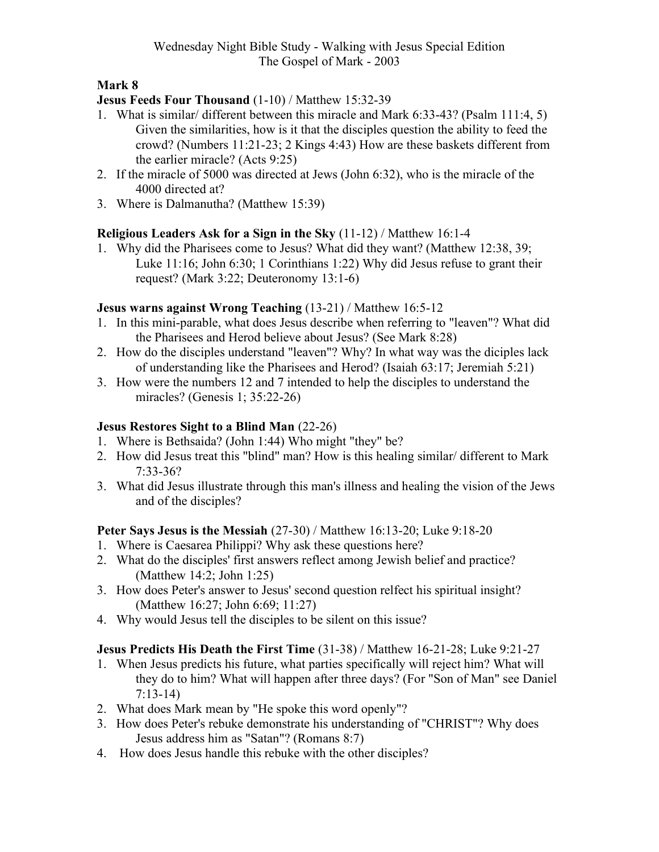#### Jesus Feeds Four Thousand (1-10) / Matthew 15:32-39

- 1. What is similar/ different between this miracle and Mark 6:33-43? (Psalm 111:4, 5) Given the similarities, how is it that the disciples question the ability to feed the crowd? (Numbers 11:21-23; 2 Kings 4:43) How are these baskets different from the earlier miracle? (Acts 9:25)
- 2. If the miracle of 5000 was directed at Jews (John 6:32), who is the miracle of the 4000 directed at?
- 3. Where is Dalmanutha? (Matthew 15:39)

#### Religious Leaders Ask for a Sign in the Sky (11-12) / Matthew 16:1-4

1. Why did the Pharisees come to Jesus? What did they want? (Matthew 12:38, 39; Luke 11:16; John 6:30; 1 Corinthians 1:22) Why did Jesus refuse to grant their request? (Mark 3:22; Deuteronomy 13:1-6)

#### Jesus warns against Wrong Teaching (13-21) / Matthew 16:5-12

- 1. In this mini-parable, what does Jesus describe when referring to "leaven"? What did the Pharisees and Herod believe about Jesus? (See Mark 8:28)
- 2. How do the disciples understand "leaven"? Why? In what way was the diciples lack of understanding like the Pharisees and Herod? (Isaiah 63:17; Jeremiah 5:21)
- 3. How were the numbers 12 and 7 intended to help the disciples to understand the miracles? (Genesis 1; 35:22-26)

#### Jesus Restores Sight to a Blind Man (22-26)

- 1. Where is Bethsaida? (John 1:44) Who might "they" be?
- 2. How did Jesus treat this "blind" man? How is this healing similar/ different to Mark 7:33-36?
- 3. What did Jesus illustrate through this man's illness and healing the vision of the Jews and of the disciples?

#### Peter Says Jesus is the Messiah (27-30) / Matthew 16:13-20; Luke 9:18-20

- 1. Where is Caesarea Philippi? Why ask these questions here?
- 2. What do the disciples' first answers reflect among Jewish belief and practice? (Matthew 14:2; John 1:25)
- 3. How does Peter's answer to Jesus' second question relfect his spiritual insight? (Matthew 16:27; John 6:69; 11:27)
- 4. Why would Jesus tell the disciples to be silent on this issue?

#### Jesus Predicts His Death the First Time (31-38) / Matthew 16-21-28; Luke 9:21-27

- 1. When Jesus predicts his future, what parties specifically will reject him? What will they do to him? What will happen after three days? (For "Son of Man" see Daniel 7:13-14)
- 2. What does Mark mean by "He spoke this word openly"?
- 3. How does Peter's rebuke demonstrate his understanding of "CHRIST"? Why does Jesus address him as "Satan"? (Romans 8:7)
- 4. How does Jesus handle this rebuke with the other disciples?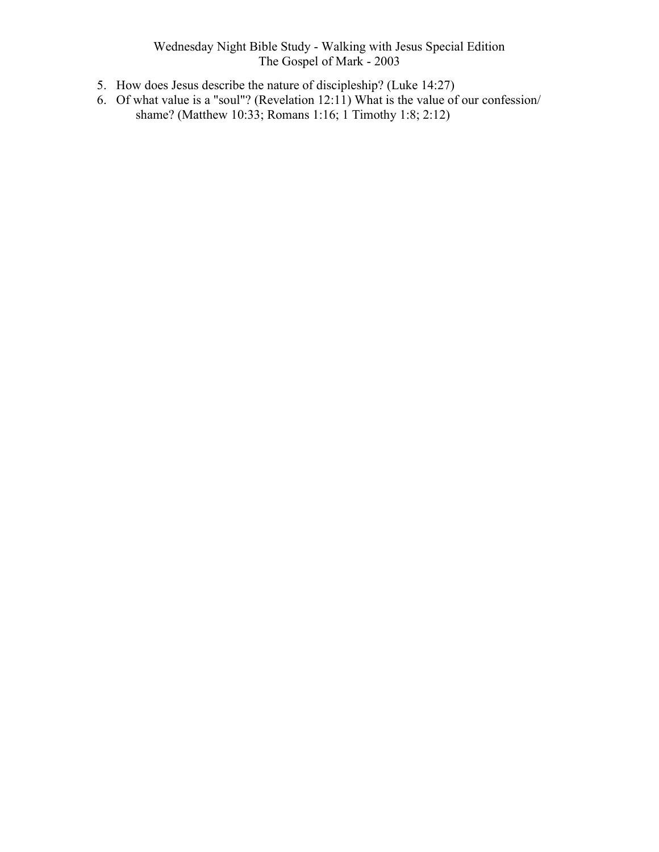- 5. How does Jesus describe the nature of discipleship? (Luke 14:27)
- 6. Of what value is a "soul"? (Revelation 12:11) What is the value of our confession/ shame? (Matthew 10:33; Romans 1:16; 1 Timothy 1:8; 2:12)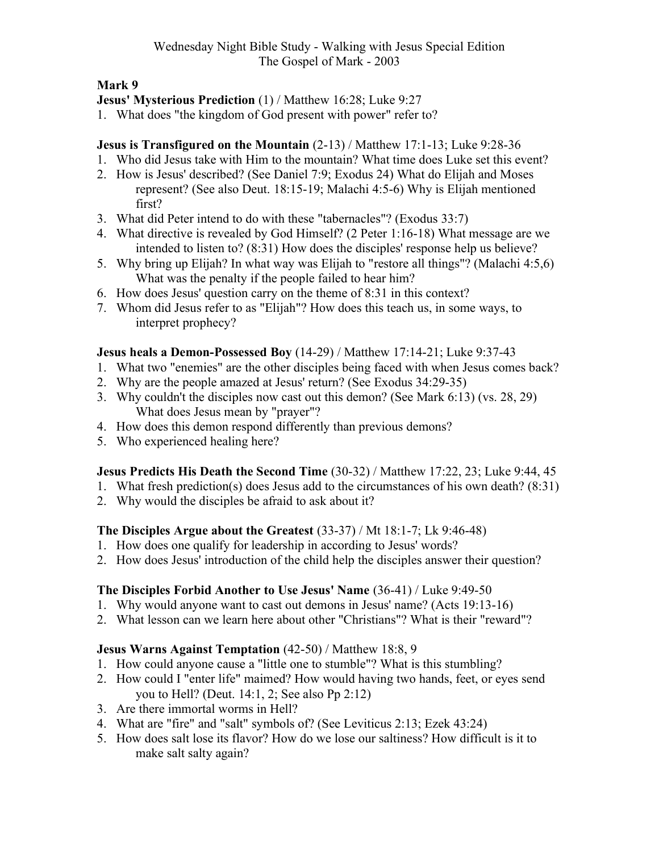#### Jesus' Mysterious Prediction (1) / Matthew 16:28; Luke 9:27

1. What does "the kingdom of God present with power" refer to?

# Jesus is Transfigured on the Mountain (2-13) / Matthew 17:1-13; Luke 9:28-36

- 1. Who did Jesus take with Him to the mountain? What time does Luke set this event?
- 2. How is Jesus' described? (See Daniel 7:9; Exodus 24) What do Elijah and Moses represent? (See also Deut. 18:15-19; Malachi 4:5-6) Why is Elijah mentioned first?
- 3. What did Peter intend to do with these "tabernacles"? (Exodus 33:7)
- 4. What directive is revealed by God Himself? (2 Peter 1:16-18) What message are we intended to listen to? (8:31) How does the disciples' response help us believe?
- 5. Why bring up Elijah? In what way was Elijah to "restore all things"? (Malachi 4:5,6) What was the penalty if the people failed to hear him?
- 6. How does Jesus' question carry on the theme of 8:31 in this context?
- 7. Whom did Jesus refer to as "Elijah"? How does this teach us, in some ways, to interpret prophecy?

#### Jesus heals a Demon-Possessed Boy (14-29) / Matthew 17:14-21; Luke 9:37-43

- 1. What two "enemies" are the other disciples being faced with when Jesus comes back?
- 2. Why are the people amazed at Jesus' return? (See Exodus 34:29-35)
- 3. Why couldn't the disciples now cast out this demon? (See Mark 6:13) (vs. 28, 29) What does Jesus mean by "prayer"?
- 4. How does this demon respond differently than previous demons?
- 5. Who experienced healing here?

#### Jesus Predicts His Death the Second Time (30-32) / Matthew 17:22, 23; Luke 9:44, 45

- 1. What fresh prediction(s) does Jesus add to the circumstances of his own death? (8:31)
- 2. Why would the disciples be afraid to ask about it?

#### The Disciples Argue about the Greatest (33-37) / Mt 18:1-7; Lk 9:46-48)

- 1. How does one qualify for leadership in according to Jesus' words?
- 2. How does Jesus' introduction of the child help the disciples answer their question?

#### The Disciples Forbid Another to Use Jesus' Name (36-41) / Luke 9:49-50

- 1. Why would anyone want to cast out demons in Jesus' name? (Acts 19:13-16)
- 2. What lesson can we learn here about other "Christians"? What is their "reward"?

#### Jesus Warns Against Temptation (42-50) / Matthew 18:8, 9

- 1. How could anyone cause a "little one to stumble"? What is this stumbling?
- 2. How could I "enter life" maimed? How would having two hands, feet, or eyes send you to Hell? (Deut. 14:1, 2; See also Pp 2:12)
- 3. Are there immortal worms in Hell?
- 4. What are "fire" and "salt" symbols of? (See Leviticus 2:13; Ezek 43:24)
- 5. How does salt lose its flavor? How do we lose our saltiness? How difficult is it to make salt salty again?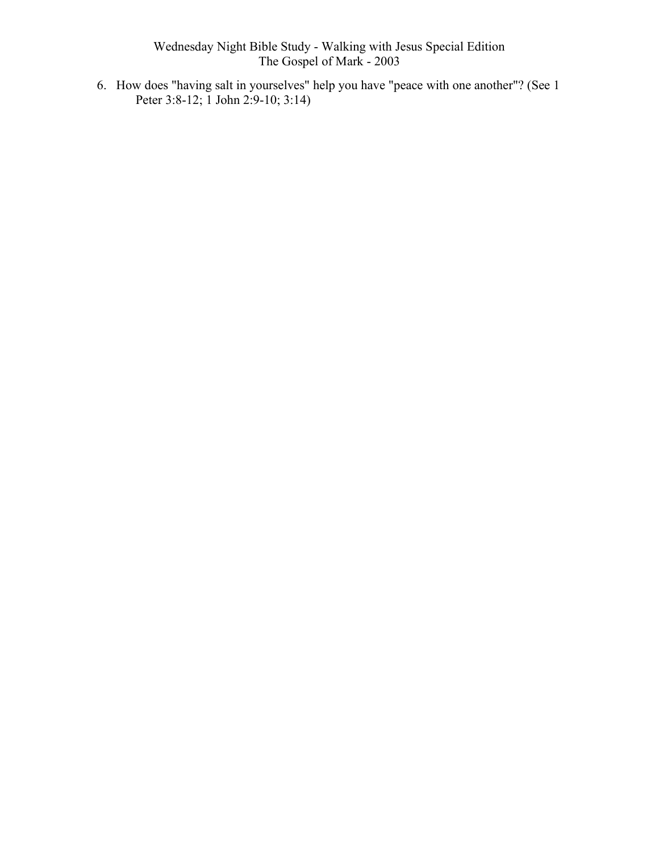6. How does "having salt in yourselves" help you have "peace with one another"? (See 1 Peter 3:8-12; 1 John 2:9-10; 3:14)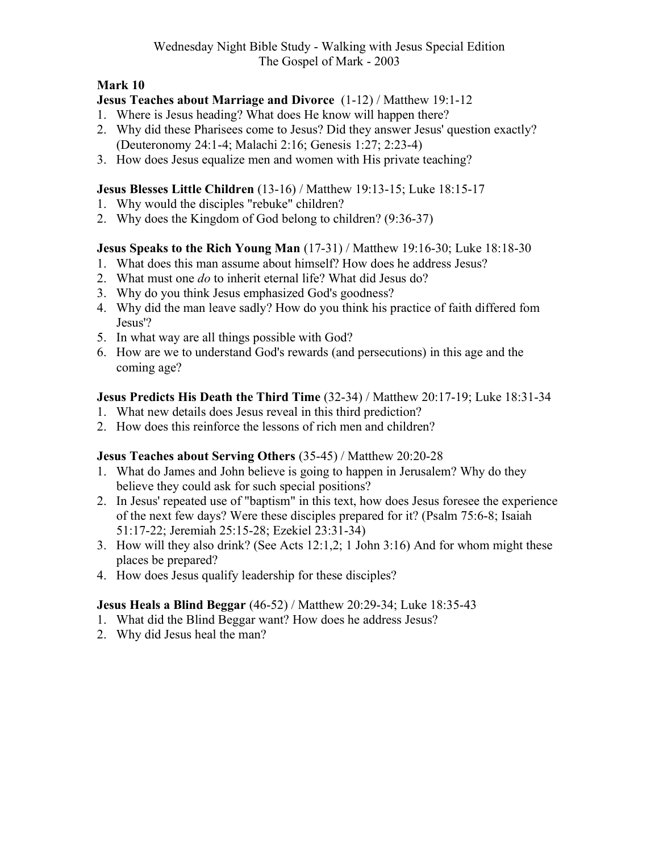#### Jesus Teaches about Marriage and Divorce (1-12) / Matthew 19:1-12

- 1. Where is Jesus heading? What does He know will happen there?
- 2. Why did these Pharisees come to Jesus? Did they answer Jesus' question exactly? (Deuteronomy 24:1-4; Malachi 2:16; Genesis 1:27; 2:23-4)
- 3. How does Jesus equalize men and women with His private teaching?

#### Jesus Blesses Little Children (13-16) / Matthew 19:13-15; Luke 18:15-17

- 1. Why would the disciples "rebuke" children?
- 2. Why does the Kingdom of God belong to children? (9:36-37)

#### Jesus Speaks to the Rich Young Man (17-31) / Matthew 19:16-30; Luke 18:18-30

- 1. What does this man assume about himself? How does he address Jesus?
- 2. What must one do to inherit eternal life? What did Jesus do?
- 3. Why do you think Jesus emphasized God's goodness?
- 4. Why did the man leave sadly? How do you think his practice of faith differed fom Jesus'?
- 5. In what way are all things possible with God?
- 6. How are we to understand God's rewards (and persecutions) in this age and the coming age?

#### Jesus Predicts His Death the Third Time (32-34) / Matthew 20:17-19; Luke 18:31-34

- 1. What new details does Jesus reveal in this third prediction?
- 2. How does this reinforce the lessons of rich men and children?

#### Jesus Teaches about Serving Others (35-45) / Matthew 20:20-28

- 1. What do James and John believe is going to happen in Jerusalem? Why do they believe they could ask for such special positions?
- 2. In Jesus' repeated use of "baptism" in this text, how does Jesus foresee the experience of the next few days? Were these disciples prepared for it? (Psalm 75:6-8; Isaiah 51:17-22; Jeremiah 25:15-28; Ezekiel 23:31-34)
- 3. How will they also drink? (See Acts 12:1,2; 1 John 3:16) And for whom might these places be prepared?
- 4. How does Jesus qualify leadership for these disciples?

#### Jesus Heals a Blind Beggar (46-52) / Matthew 20:29-34; Luke 18:35-43

- 1. What did the Blind Beggar want? How does he address Jesus?
- 2. Why did Jesus heal the man?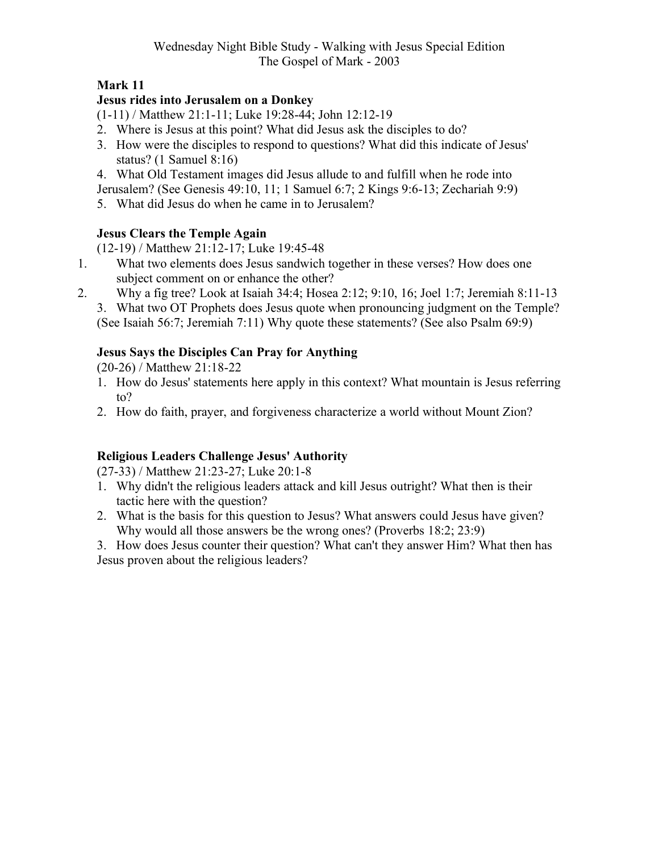## Jesus rides into Jerusalem on a Donkey

(1-11) / Matthew 21:1-11; Luke 19:28-44; John 12:12-19

- 2. Where is Jesus at this point? What did Jesus ask the disciples to do?
- 3. How were the disciples to respond to questions? What did this indicate of Jesus' status? (1 Samuel 8:16)
- 4. What Old Testament images did Jesus allude to and fulfill when he rode into
- Jerusalem? (See Genesis 49:10, 11; 1 Samuel 6:7; 2 Kings 9:6-13; Zechariah 9:9)
- 5. What did Jesus do when he came in to Jerusalem?

# Jesus Clears the Temple Again

(12-19) / Matthew 21:12-17; Luke 19:45-48

- 1. What two elements does Jesus sandwich together in these verses? How does one subject comment on or enhance the other?
- 2. Why a fig tree? Look at Isaiah 34:4; Hosea 2:12; 9:10, 16; Joel 1:7; Jeremiah 8:11-13
	- 3. What two OT Prophets does Jesus quote when pronouncing judgment on the Temple? (See Isaiah 56:7; Jeremiah 7:11) Why quote these statements? (See also Psalm 69:9)

# Jesus Says the Disciples Can Pray for Anything

(20-26) / Matthew 21:18-22

- 1. How do Jesus' statements here apply in this context? What mountain is Jesus referring to?
- 2. How do faith, prayer, and forgiveness characterize a world without Mount Zion?

# Religious Leaders Challenge Jesus' Authority

(27-33) / Matthew 21:23-27; Luke 20:1-8

- 1. Why didn't the religious leaders attack and kill Jesus outright? What then is their tactic here with the question?
- 2. What is the basis for this question to Jesus? What answers could Jesus have given? Why would all those answers be the wrong ones? (Proverbs 18:2; 23:9)
- 3. How does Jesus counter their question? What can't they answer Him? What then has Jesus proven about the religious leaders?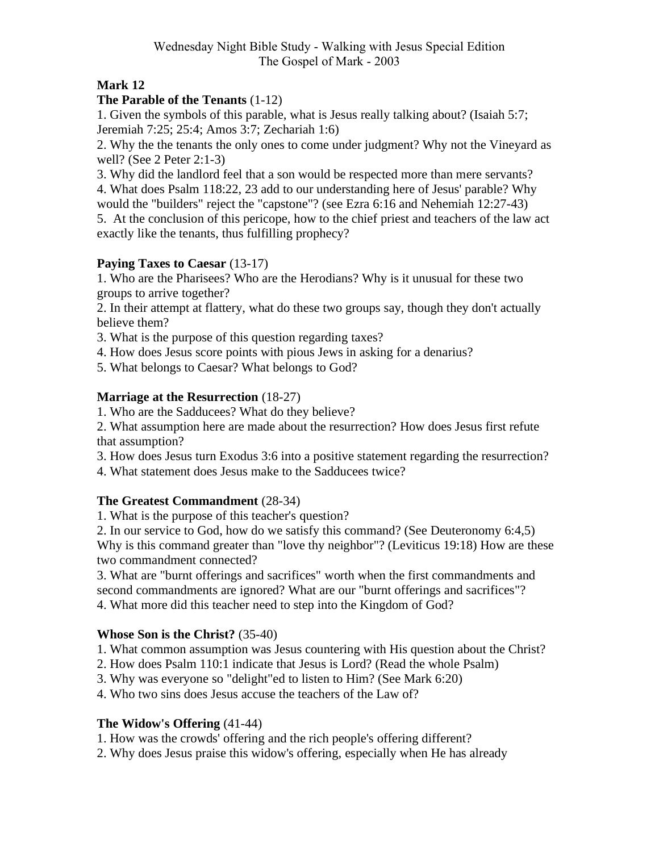#### Mark 12

#### The Parable of the Tenants (1-12)

1. Given the symbols of this parable, what is Jesus really talking about? (Isaiah 5:7; Jeremiah 7:25; 25:4; Amos 3:7; Zechariah 1:6)

2. Why the the tenants the only ones to come under judgment? Why not the Vineyard as well? (See 2 Peter 2:1-3)

3. Why did the landlord feel that a son would be respected more than mere servants? 4. What does Psalm 118:22, 23 add to our understanding here of Jesus' parable? Why would the "builders" reject the "capstone"? (see Ezra 6:16 and Nehemiah 12:27-43)

5. At the conclusion of this pericope, how to the chief priest and teachers of the law act exactly like the tenants, thus fulfilling prophecy?

#### Paying Taxes to Caesar (13-17)

1. Who are the Pharisees? Who are the Herodians? Why is it unusual for these two groups to arrive together?

2. In their attempt at flattery, what do these two groups say, though they don't actually believe them?

3. What is the purpose of this question regarding taxes?

4. How does Jesus score points with pious Jews in asking for a denarius?

5. What belongs to Caesar? What belongs to God?

#### Marriage at the Resurrection (18-27)

1. Who are the Sadducees? What do they believe?

2. What assumption here are made about the resurrection? How does Jesus first refute that assumption?

3. How does Jesus turn Exodus 3:6 into a positive statement regarding the resurrection?

4. What statement does Jesus make to the Sadducees twice?

#### The Greatest Commandment (28-34)

1. What is the purpose of this teacher's question?

2. In our service to God, how do we satisfy this command? (See Deuteronomy 6:4,5) Why is this command greater than "love thy neighbor"? (Leviticus 19:18) How are these two commandment connected?

3. What are "burnt offerings and sacrifices" worth when the first commandments and second commandments are ignored? What are our "burnt offerings and sacrifices"? 4. What more did this teacher need to step into the Kingdom of God?

#### Whose Son is the Christ? (35-40)

- 1. What common assumption was Jesus countering with His question about the Christ?
- 2. How does Psalm 110:1 indicate that Jesus is Lord? (Read the whole Psalm)
- 3. Why was everyone so "delight"ed to listen to Him? (See Mark 6:20)

4. Who two sins does Jesus accuse the teachers of the Law of?

#### The Widow's Offering (41-44)

1. How was the crowds' offering and the rich people's offering different?

2. Why does Jesus praise this widow's offering, especially when He has already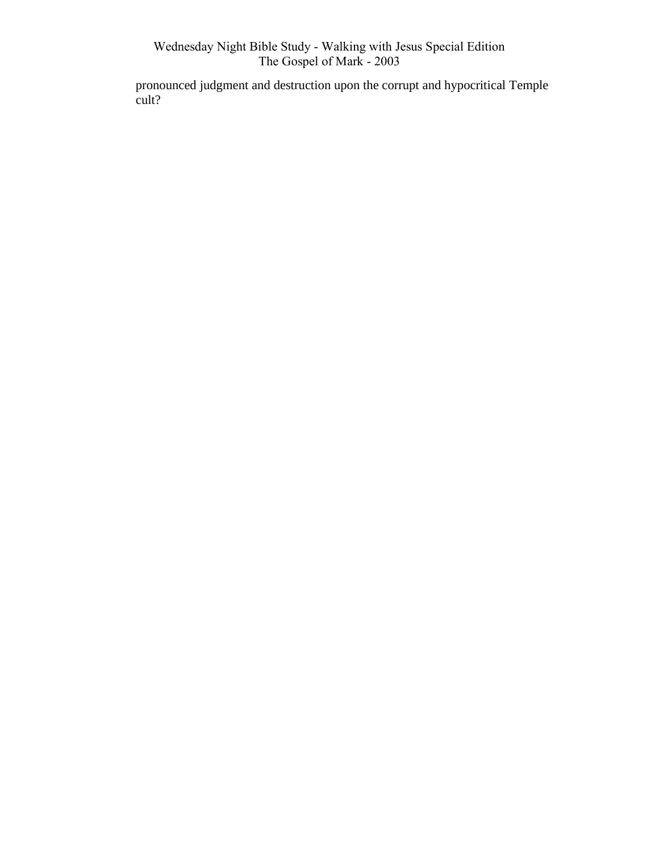pronounced judgment and destruction upon the corrupt and hypocritical Temple cult?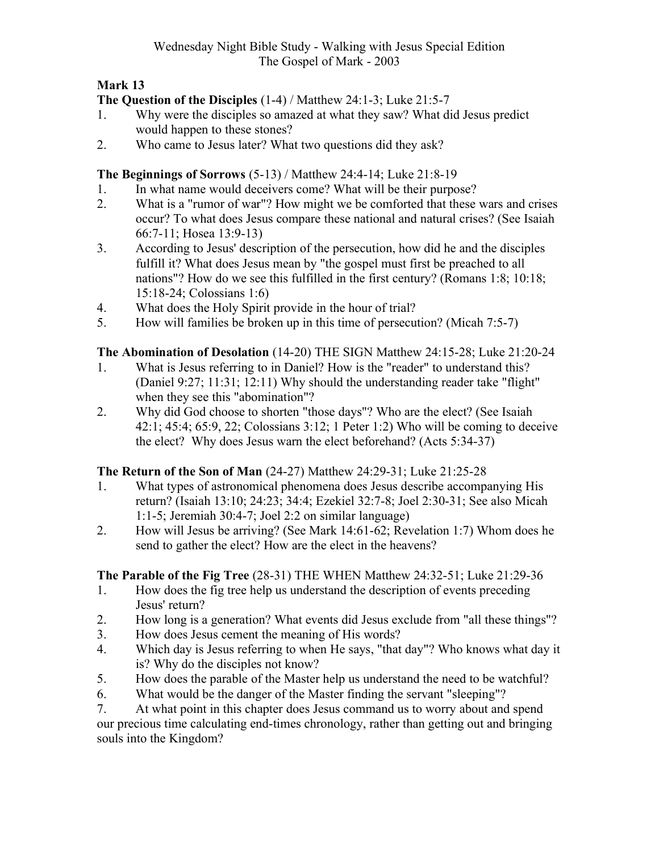# The Question of the Disciples (1-4) / Matthew 24:1-3; Luke 21:5-7

- 1. Why were the disciples so amazed at what they saw? What did Jesus predict would happen to these stones?
- 2. Who came to Jesus later? What two questions did they ask?

The Beginnings of Sorrows (5-13) / Matthew 24:4-14; Luke 21:8-19

- 1. In what name would deceivers come? What will be their purpose?
- 2. What is a "rumor of war"? How might we be comforted that these wars and crises occur? To what does Jesus compare these national and natural crises? (See Isaiah 66:7-11; Hosea 13:9-13)
- 3. According to Jesus' description of the persecution, how did he and the disciples fulfill it? What does Jesus mean by "the gospel must first be preached to all nations"? How do we see this fulfilled in the first century? (Romans 1:8; 10:18; 15:18-24; Colossians 1:6)
- 4. What does the Holy Spirit provide in the hour of trial?<br>5. How will families be broken up in this time of persecut
- 5. How will families be broken up in this time of persecution? (Micah 7:5-7)

# The Abomination of Desolation (14-20) THE SIGN Matthew 24:15-28; Luke 21:20-24

- 1. What is Jesus referring to in Daniel? How is the "reader" to understand this? (Daniel 9:27; 11:31; 12:11) Why should the understanding reader take "flight" when they see this "abomination"?
- 2. Why did God choose to shorten "those days"? Who are the elect? (See Isaiah 42:1; 45:4; 65:9, 22; Colossians 3:12; 1 Peter 1:2) Who will be coming to deceive the elect? Why does Jesus warn the elect beforehand? (Acts 5:34-37)

# The Return of the Son of Man (24-27) Matthew 24:29-31; Luke 21:25-28

- 1. What types of astronomical phenomena does Jesus describe accompanying His return? (Isaiah 13:10; 24:23; 34:4; Ezekiel 32:7-8; Joel 2:30-31; See also Micah 1:1-5; Jeremiah 30:4-7; Joel 2:2 on similar language)
- 2. How will Jesus be arriving? (See Mark 14:61-62; Revelation 1:7) Whom does he send to gather the elect? How are the elect in the heavens?

# The Parable of the Fig Tree (28-31) THE WHEN Matthew 24:32-51; Luke 21:29-36

- 1. How does the fig tree help us understand the description of events preceding Jesus' return?
- 2. How long is a generation? What events did Jesus exclude from "all these things"?
- 3. How does Jesus cement the meaning of His words?
- 4. Which day is Jesus referring to when He says, "that day"? Who knows what day it is? Why do the disciples not know?
- 5. How does the parable of the Master help us understand the need to be watchful?
- 6. What would be the danger of the Master finding the servant "sleeping"?
- 7. At what point in this chapter does Jesus command us to worry about and spend our precious time calculating end-times chronology, rather than getting out and bringing souls into the Kingdom?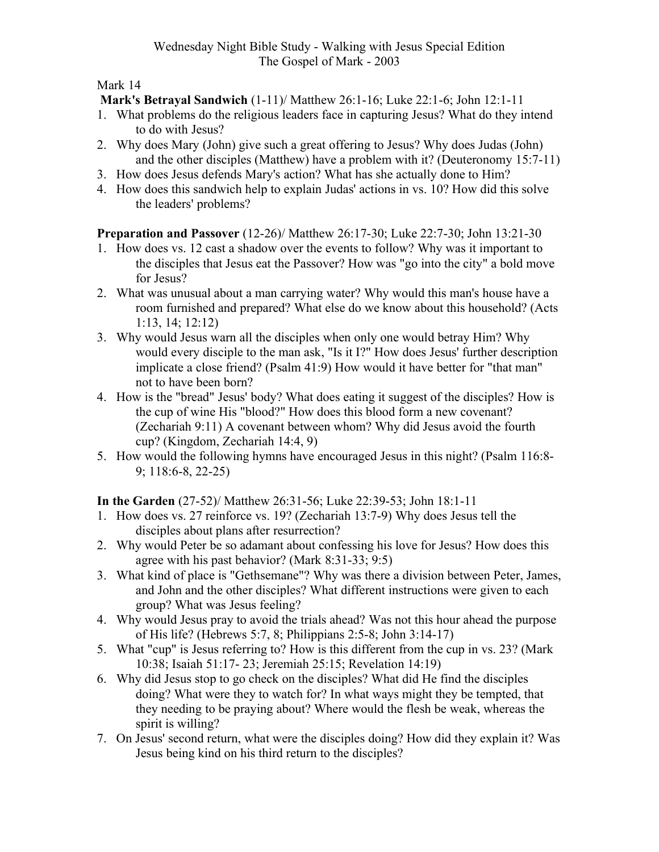Mark's Betrayal Sandwich (1-11)/ Matthew 26:1-16; Luke 22:1-6; John 12:1-11

- 1. What problems do the religious leaders face in capturing Jesus? What do they intend to do with Jesus?
- 2. Why does Mary (John) give such a great offering to Jesus? Why does Judas (John) and the other disciples (Matthew) have a problem with it? (Deuteronomy 15:7-11)
- 3. How does Jesus defends Mary's action? What has she actually done to Him?
- 4. How does this sandwich help to explain Judas' actions in vs. 10? How did this solve the leaders' problems?

Preparation and Passover (12-26)/ Matthew 26:17-30; Luke 22:7-30; John 13:21-30

- 1. How does vs. 12 cast a shadow over the events to follow? Why was it important to the disciples that Jesus eat the Passover? How was "go into the city" a bold move for Jesus?
- 2. What was unusual about a man carrying water? Why would this man's house have a room furnished and prepared? What else do we know about this household? (Acts 1:13, 14; 12:12)
- 3. Why would Jesus warn all the disciples when only one would betray Him? Why would every disciple to the man ask, "Is it I?" How does Jesus' further description implicate a close friend? (Psalm 41:9) How would it have better for "that man" not to have been born?
- 4. How is the "bread" Jesus' body? What does eating it suggest of the disciples? How is the cup of wine His "blood?" How does this blood form a new covenant? (Zechariah 9:11) A covenant between whom? Why did Jesus avoid the fourth cup? (Kingdom, Zechariah 14:4, 9)
- 5. How would the following hymns have encouraged Jesus in this night? (Psalm 116:8- 9; 118:6-8, 22-25)

In the Garden (27-52)/ Matthew 26:31-56; Luke 22:39-53; John 18:1-11

- 1. How does vs. 27 reinforce vs. 19? (Zechariah 13:7-9) Why does Jesus tell the disciples about plans after resurrection?
- 2. Why would Peter be so adamant about confessing his love for Jesus? How does this agree with his past behavior? (Mark 8:31-33; 9:5)
- 3. What kind of place is "Gethsemane"? Why was there a division between Peter, James, and John and the other disciples? What different instructions were given to each group? What was Jesus feeling?
- 4. Why would Jesus pray to avoid the trials ahead? Was not this hour ahead the purpose of His life? (Hebrews 5:7, 8; Philippians 2:5-8; John 3:14-17)
- 5. What "cup" is Jesus referring to? How is this different from the cup in vs. 23? (Mark 10:38; Isaiah 51:17- 23; Jeremiah 25:15; Revelation 14:19)
- 6. Why did Jesus stop to go check on the disciples? What did He find the disciples doing? What were they to watch for? In what ways might they be tempted, that they needing to be praying about? Where would the flesh be weak, whereas the spirit is willing?
- 7. On Jesus' second return, what were the disciples doing? How did they explain it? Was Jesus being kind on his third return to the disciples?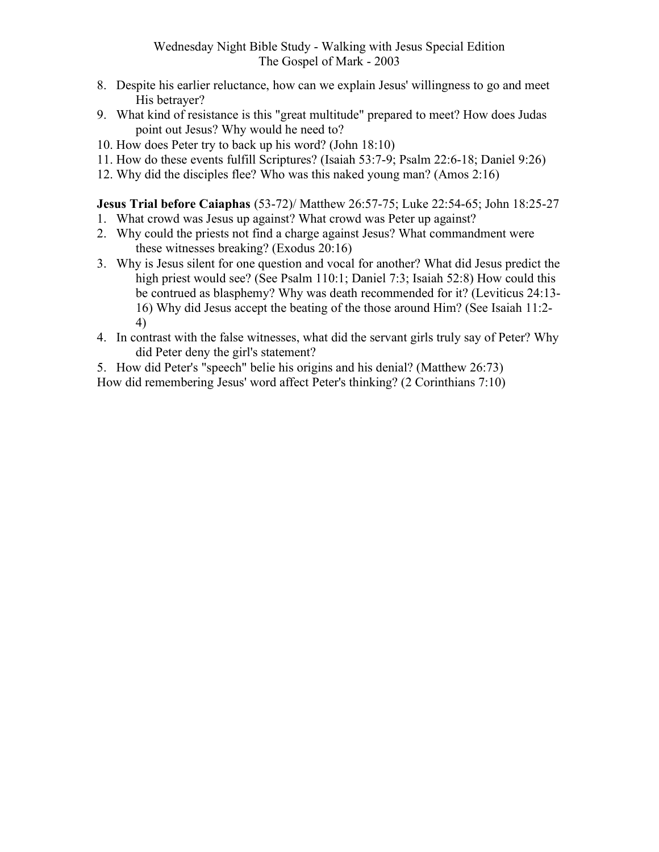- 8. Despite his earlier reluctance, how can we explain Jesus' willingness to go and meet His betrayer?
- 9. What kind of resistance is this "great multitude" prepared to meet? How does Judas point out Jesus? Why would he need to?
- 10. How does Peter try to back up his word? (John 18:10)
- 11. How do these events fulfill Scriptures? (Isaiah 53:7-9; Psalm 22:6-18; Daniel 9:26)
- 12. Why did the disciples flee? Who was this naked young man? (Amos 2:16)

#### Jesus Trial before Caiaphas (53-72)/ Matthew 26:57-75; Luke 22:54-65; John 18:25-27

- 1. What crowd was Jesus up against? What crowd was Peter up against?
- 2. Why could the priests not find a charge against Jesus? What commandment were these witnesses breaking? (Exodus 20:16)
- 3. Why is Jesus silent for one question and vocal for another? What did Jesus predict the high priest would see? (See Psalm 110:1; Daniel 7:3; Isaiah 52:8) How could this be contrued as blasphemy? Why was death recommended for it? (Leviticus 24:13- 16) Why did Jesus accept the beating of the those around Him? (See Isaiah 11:2- 4)
- 4. In contrast with the false witnesses, what did the servant girls truly say of Peter? Why did Peter deny the girl's statement?

5. How did Peter's "speech" belie his origins and his denial? (Matthew 26:73) How did remembering Jesus' word affect Peter's thinking? (2 Corinthians 7:10)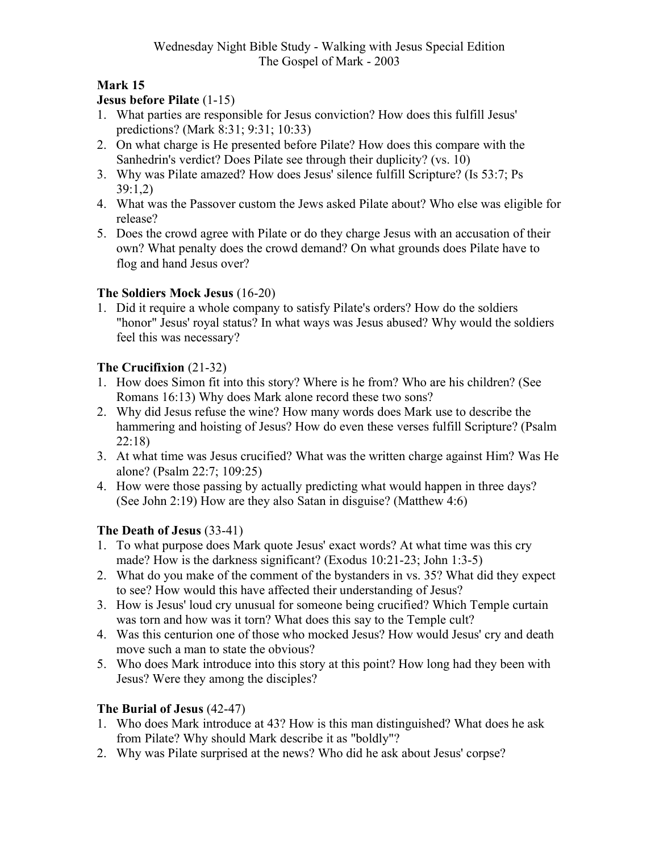#### Jesus before Pilate (1-15)

- 1. What parties are responsible for Jesus conviction? How does this fulfill Jesus' predictions? (Mark 8:31; 9:31; 10:33)
- 2. On what charge is He presented before Pilate? How does this compare with the Sanhedrin's verdict? Does Pilate see through their duplicity? (vs. 10)
- 3. Why was Pilate amazed? How does Jesus' silence fulfill Scripture? (Is 53:7; Ps 39:1,2)
- 4. What was the Passover custom the Jews asked Pilate about? Who else was eligible for release?
- 5. Does the crowd agree with Pilate or do they charge Jesus with an accusation of their own? What penalty does the crowd demand? On what grounds does Pilate have to flog and hand Jesus over?

#### The Soldiers Mock Jesus (16-20)

1. Did it require a whole company to satisfy Pilate's orders? How do the soldiers "honor" Jesus' royal status? In what ways was Jesus abused? Why would the soldiers feel this was necessary?

#### The Crucifixion (21-32)

- 1. How does Simon fit into this story? Where is he from? Who are his children? (See Romans 16:13) Why does Mark alone record these two sons?
- 2. Why did Jesus refuse the wine? How many words does Mark use to describe the hammering and hoisting of Jesus? How do even these verses fulfill Scripture? (Psalm 22:18)
- 3. At what time was Jesus crucified? What was the written charge against Him? Was He alone? (Psalm 22:7; 109:25)
- 4. How were those passing by actually predicting what would happen in three days? (See John 2:19) How are they also Satan in disguise? (Matthew 4:6)

#### The Death of Jesus (33-41)

- 1. To what purpose does Mark quote Jesus' exact words? At what time was this cry made? How is the darkness significant? (Exodus 10:21-23; John 1:3-5)
- 2. What do you make of the comment of the bystanders in vs. 35? What did they expect to see? How would this have affected their understanding of Jesus?
- 3. How is Jesus' loud cry unusual for someone being crucified? Which Temple curtain was torn and how was it torn? What does this say to the Temple cult?
- 4. Was this centurion one of those who mocked Jesus? How would Jesus' cry and death move such a man to state the obvious?
- 5. Who does Mark introduce into this story at this point? How long had they been with Jesus? Were they among the disciples?

#### The Burial of Jesus (42-47)

- 1. Who does Mark introduce at 43? How is this man distinguished? What does he ask from Pilate? Why should Mark describe it as "boldly"?
- 2. Why was Pilate surprised at the news? Who did he ask about Jesus' corpse?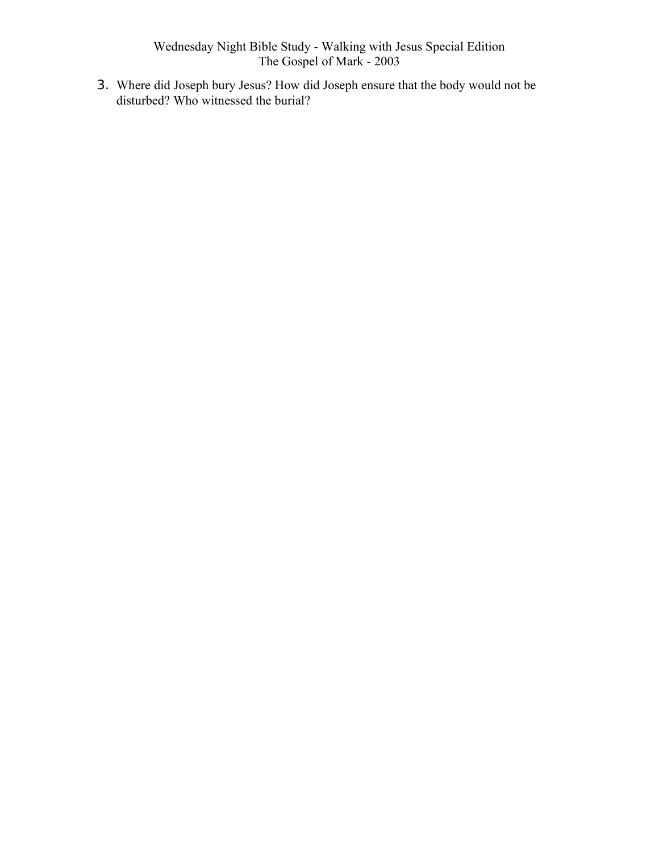3. Where did Joseph bury Jesus? How did Joseph ensure that the body would not be disturbed? Who witnessed the burial?